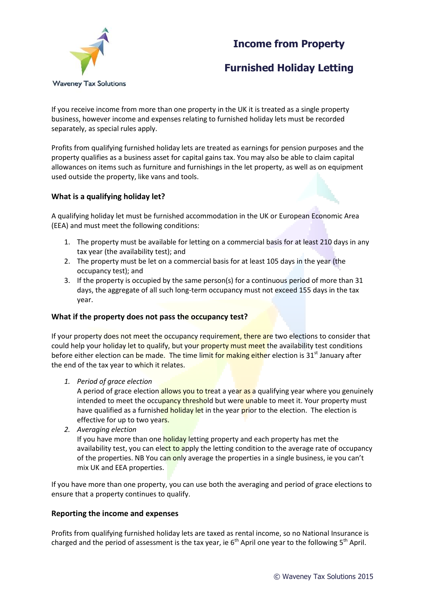## **Income from Property**



# **Furnished Holiday Letting**

If you receive income from more than one property in the UK it is treated as a single property business, however income and expenses relating to furnished holiday lets must be recorded separately, as special rules apply.

Profits from qualifying furnished holiday lets are treated as earnings for pension purposes and the property qualifies as a business asset for capital gains tax. You may also be able to claim capital allowances on items such as furniture and furnishings in the let property, as well as on equipment used outside the property, like vans and tools.

### **What is a qualifying holiday let?**

A qualifying holiday let must be furnished accommodation in the UK or European Economic Area (EEA) and must meet the following conditions:

- 1. The property must be available for letting on a commercial basis for at least 210 days in any tax year (the availability test); and
- 2. The property must be let on a commercial basis for at least 105 days in the year (the occupancy test); and
- 3. If the property is occupied by the same person(s) for a continuous period of more than 31 days, the aggregate of all such long-term occupancy must not exceed 155 days in the tax year.

### **What if the property does not pass the occupancy test?**

If your property does not meet the occupancy requirement, there are two elections to consider that could help your holiday let to qualify, but your property must meet the availability test conditions before either election can be made. The time limit for making either election is  $31<sup>st</sup>$  January after the end of the tax year to which it relates.

*1. Period of grace election*

A period of grace election allows you to treat a year as a qualifying year where you genuinely intended to meet the occupancy threshold but were unable to meet it. Your property must have qualified as a furnished holiday let in the year prior to the election. The election is effective for up to two years.

*2. Averaging election*

If you have more than one holiday letting property and each property has met the availability test, you can elect to apply the letting condition to the average rate of occupancy of the properties. NB You can only average the properties in a single business, ie you can't mix UK and EEA properties.

If you have more than one property, you can use both the averaging and period of grace elections to ensure that a property continues to qualify.

### **Reporting the income and expenses**

Profits from qualifying furnished holiday lets are taxed as rental income, so no National Insurance is charged and the period of assessment is the tax year, ie  $6<sup>th</sup>$  April one year to the following  $5<sup>th</sup>$  April.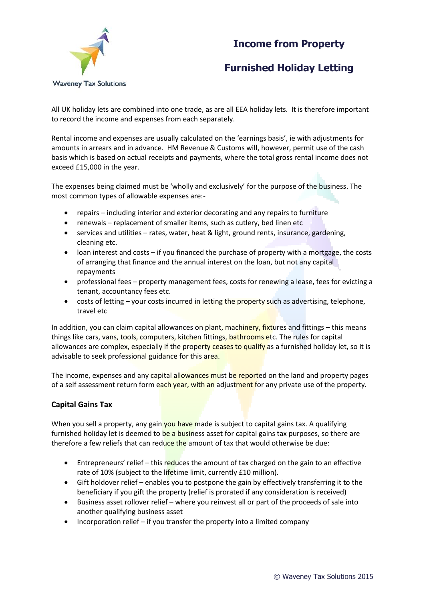### **Income from Property**



# **Furnished Holiday Letting**

All UK holiday lets are combined into one trade, as are all EEA holiday lets. It is therefore important to record the income and expenses from each separately.

Rental income and expenses are usually calculated on the 'earnings basis', ie with adjustments for amounts in arrears and in advance. HM Revenue & Customs will, however, permit use of the cash basis which is based on actual receipts and payments, where the total gross rental income does not exceed £15,000 in the year.

The expenses being claimed must be 'wholly and exclusively' for the purpose of the business. The most common types of allowable expenses are:-

- repairs including interior and exterior decorating and any repairs to furniture
- renewals replacement of smaller items, such as cutlery, bed linen etc
- services and utilities rates, water, heat & light, ground rents, insurance, gardening, cleaning etc.
- loan interest and costs if you financed the purchase of property with a mortgage, the costs of arranging that finance and the annual interest on the loan, but not any capital repayments
- professional fees property management fees, costs for renewing a lease, fees for evicting a tenant, accountancy fees etc.
- costs of letting your costs incurred in letting the property such as advertising, telephone, travel etc

In addition, you can claim capital allowances on plant, machinery, fixtures and fittings  $-$  this means things like cars, vans, tools, computers, kitchen fittings, bathrooms etc. The rules for capital allowances are complex, especially if the property ceases to qualify as a furnished holiday let, so it is advisable to seek professional guidance for this area.

The income, expenses and any capital allowances must be reported on the land and property pages of a self assessment return form each year, with an adjustment for any private use of the property.

### **Capital Gains Tax**

When you sell a property, any gain you have made is subject to capital gains tax. A qualifying furnished holiday let is deemed to be a business asset for capital gains tax purposes, so there are therefore a few reliefs that can reduce the amount of tax that would otherwise be due:

- **Entrepreneurs' relief this reduces the amount of tax charged on the gain to an effective** rate of 10% (subject to the lifetime limit, currently £10 million).
- Gift holdover relief enables you to postpone the gain by effectively transferring it to the beneficiary if you gift the property (relief is prorated if any consideration is received)
- Business asset rollover relief where you reinvest all or part of the proceeds of sale into another qualifying business asset
- Incorporation relief if you transfer the property into a limited company